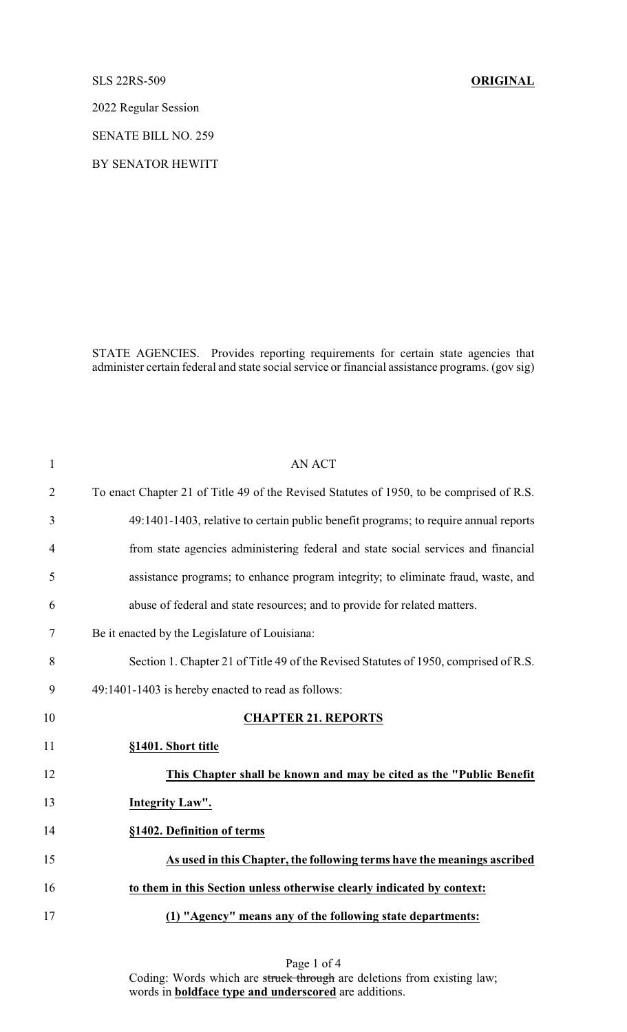## SLS 22RS-509 **ORIGINAL**

2022 Regular Session

SENATE BILL NO. 259

BY SENATOR HEWITT

STATE AGENCIES. Provides reporting requirements for certain state agencies that administer certain federal and state social service or financial assistance programs. (gov sig)

| $\mathbf{1}$   | <b>AN ACT</b>                                                                            |
|----------------|------------------------------------------------------------------------------------------|
| $\overline{2}$ | To enact Chapter 21 of Title 49 of the Revised Statutes of 1950, to be comprised of R.S. |
| 3              | 49:1401-1403, relative to certain public benefit programs; to require annual reports     |
| $\overline{4}$ | from state agencies administering federal and state social services and financial        |
| 5              | assistance programs; to enhance program integrity; to eliminate fraud, waste, and        |
| 6              | abuse of federal and state resources; and to provide for related matters.                |
| 7              | Be it enacted by the Legislature of Louisiana:                                           |
| 8              | Section 1. Chapter 21 of Title 49 of the Revised Statutes of 1950, comprised of R.S.     |
| 9              | 49:1401-1403 is hereby enacted to read as follows:                                       |
| 10             | <b>CHAPTER 21. REPORTS</b>                                                               |
| 11             | §1401. Short title                                                                       |
| 12             | This Chapter shall be known and may be cited as the "Public Benefit"                     |
| 13             | Integrity Law".                                                                          |
| 14             | §1402. Definition of terms                                                               |
| 15             | As used in this Chapter, the following terms have the meanings ascribed                  |
| 16             | to them in this Section unless otherwise clearly indicated by context:                   |
| 17             | (1) "Agency" means any of the following state departments:                               |

Page 1 of 4 Coding: Words which are struck through are deletions from existing law; words in **boldface type and underscored** are additions.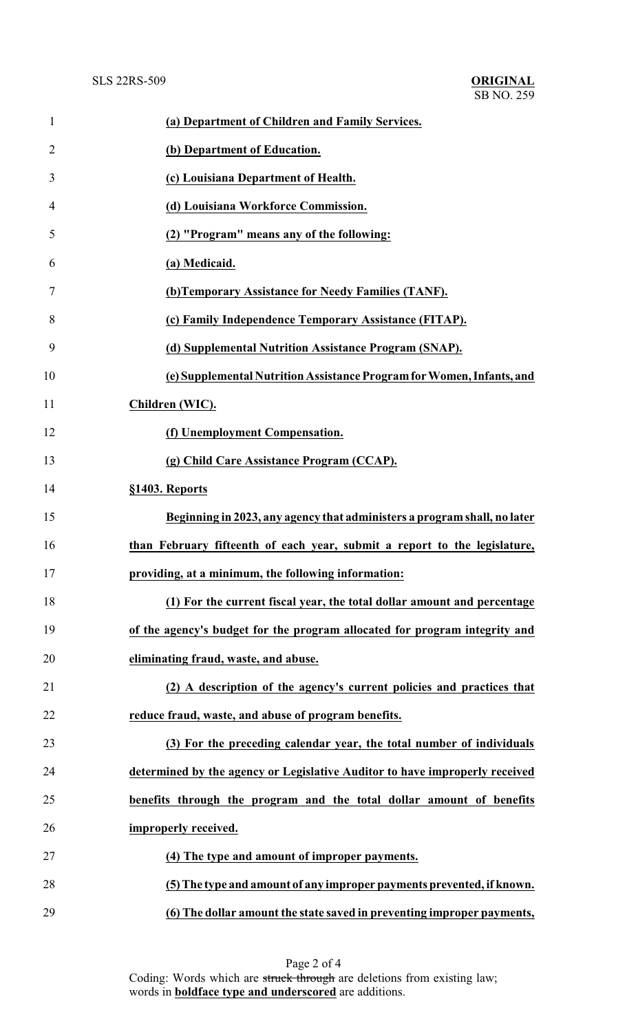| $\mathbf{1}$   | (a) Department of Children and Family Services.                             |
|----------------|-----------------------------------------------------------------------------|
| $\overline{2}$ | (b) Department of Education.                                                |
| 3              | (c) Louisiana Department of Health.                                         |
| 4              | (d) Louisiana Workforce Commission.                                         |
| 5              | (2) "Program" means any of the following:                                   |
| 6              | (a) Medicaid.                                                               |
| 7              | (b) Temporary Assistance for Needy Families (TANF).                         |
| 8              | (c) Family Independence Temporary Assistance (FITAP).                       |
| 9              | (d) Supplemental Nutrition Assistance Program (SNAP).                       |
| 10             | (e) Supplemental Nutrition Assistance Program for Women, Infants, and       |
| 11             | Children (WIC).                                                             |
| 12             | (f) Unemployment Compensation.                                              |
| 13             | (g) Child Care Assistance Program (CCAP).                                   |
| 14             | §1403. Reports                                                              |
| 15             | Beginning in 2023, any agency that administers a program shall, no later    |
| 16             | than February fifteenth of each year, submit a report to the legislature,   |
| 17             | providing, at a minimum, the following information:                         |
| 18             | (1) For the current fiscal year, the total dollar amount and percentage     |
| 19             | of the agency's budget for the program allocated for program integrity and  |
| 20             | eliminating fraud, waste, and abuse.                                        |
| 21             | (2) A description of the agency's current policies and practices that       |
| 22             | reduce fraud, waste, and abuse of program benefits.                         |
| 23             | (3) For the preceding calendar year, the total number of individuals        |
| 24             | determined by the agency or Legislative Auditor to have improperly received |
| 25             | benefits through the program and the total dollar amount of benefits        |
| 26             | improperly received.                                                        |
| 27             | (4) The type and amount of improper payments.                               |
| 28             | (5) The type and amount of any improper payments prevented, if known.       |
| 29             | (6) The dollar amount the state saved in preventing improper payments,      |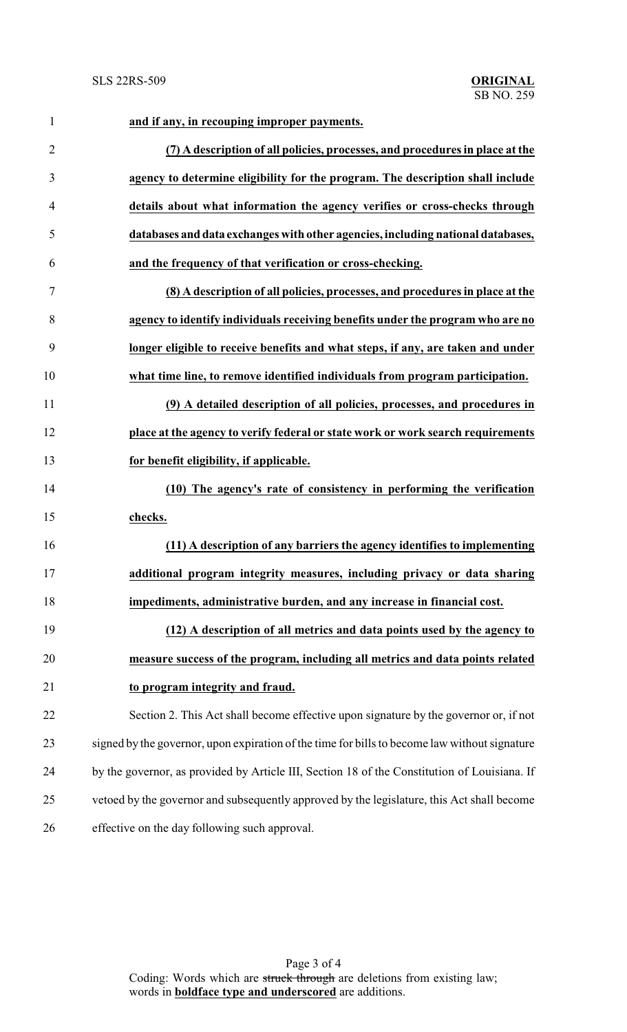| $\mathbf{1}$   | and if any, in recouping improper payments.                                                   |
|----------------|-----------------------------------------------------------------------------------------------|
| $\overline{2}$ | (7) A description of all policies, processes, and procedures in place at the                  |
| $\mathfrak{Z}$ | agency to determine eligibility for the program. The description shall include                |
| $\overline{4}$ | details about what information the agency verifies or cross-checks through                    |
| 5              | databases and data exchanges with other agencies, including national databases,               |
| 6              | and the frequency of that verification or cross-checking.                                     |
| 7              | (8) A description of all policies, processes, and procedures in place at the                  |
| 8              | agency to identify individuals receiving benefits under the program who are no                |
| 9              | longer eligible to receive benefits and what steps, if any, are taken and under               |
| 10             | what time line, to remove identified individuals from program participation.                  |
| 11             | (9) A detailed description of all policies, processes, and procedures in                      |
| 12             | place at the agency to verify federal or state work or work search requirements               |
| 13             | for benefit eligibility, if applicable.                                                       |
| 14             | (10) The agency's rate of consistency in performing the verification                          |
| 15             | checks.                                                                                       |
| 16             | (11) A description of any barriers the agency identifies to implementing                      |
| 17             | additional program integrity measures, including privacy or data sharing                      |
| 18             | impediments, administrative burden, and any increase in financial cost.                       |
| 19             | (12) A description of all metrics and data points used by the agency to                       |
| 20             | measure success of the program, including all metrics and data points related                 |
| 21             | to program integrity and fraud.                                                               |
| 22             | Section 2. This Act shall become effective upon signature by the governor or, if not          |
| 23             | signed by the governor, upon expiration of the time for bills to become law without signature |
| 24             | by the governor, as provided by Article III, Section 18 of the Constitution of Louisiana. If  |
| 25             | vetoed by the governor and subsequently approved by the legislature, this Act shall become    |
| 26             | effective on the day following such approval.                                                 |